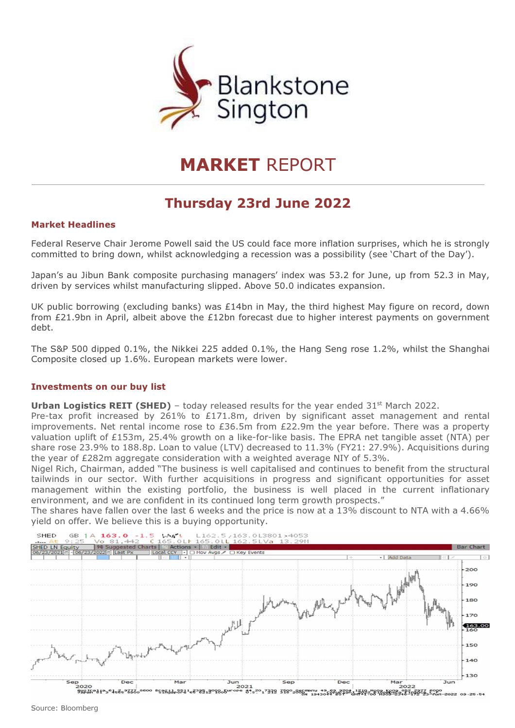

# MARKET REPORT

# Thursday 23rd June 2022

## Market Headlines

Federal Reserve Chair Jerome Powell said the US could face more inflation surprises, which he is strongly committed to bring down, whilst acknowledging a recession was a possibility (see 'Chart of the Day').

Japan's au Jibun Bank composite purchasing managers' index was 53.2 for June, up from 52.3 in May, driven by services whilst manufacturing slipped. Above 50.0 indicates expansion.

UK public borrowing (excluding banks) was £14bn in May, the third highest May figure on record, down from £21.9bn in April, albeit above the £12bn forecast due to higher interest payments on government debt.

The S&P 500 dipped 0.1%, the Nikkei 225 added 0.1%, the Hang Seng rose 1.2%, whilst the Shanghai Composite closed up 1.6%. European markets were lower.

#### Investments on our buy list

**Urban Logistics REIT (SHED)** – today released results for the year ended  $31<sup>st</sup>$  March 2022.

Pre-tax profit increased by 261% to £171.8m, driven by significant asset management and rental improvements. Net rental income rose to £36.5m from £22.9m the year before. There was a property valuation uplift of £153m, 25.4% growth on a like-for-like basis. The EPRA net tangible asset (NTA) per share rose 23.9% to 188.8p. Loan to value (LTV) decreased to 11.3% (FY21: 27.9%). Acquisitions during the year of £282m aggregate consideration with a weighted average NIY of 5.3%.

Nigel Rich, Chairman, added "The business is well capitalised and continues to benefit from the structural tailwinds in our sector. With further acquisitions in progress and significant opportunities for asset management within the existing portfolio, the business is well placed in the current inflationary environment, and we are confident in its continued long term growth prospects."

The shares have fallen over the last 6 weeks and the price is now at a 13% discount to NTA with a 4.66% yield on offer. We believe this is a buying opportunity.

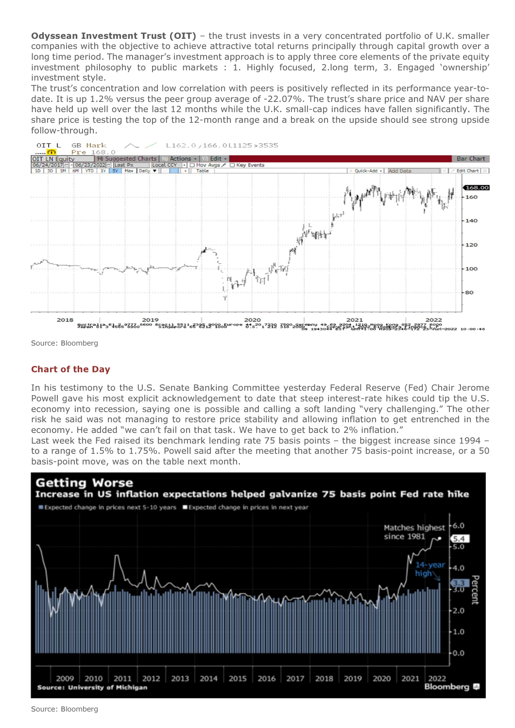**Odyssean Investment Trust (OIT)** – the trust invests in a very concentrated portfolio of U.K. smaller companies with the objective to achieve attractive total returns principally through capital growth over a long time period. The manager's investment approach is to apply three core elements of the private equity investment philosophy to public markets : 1. Highly focused, 2.long term, 3. Engaged 'ownership' investment style.

The trust's concentration and low correlation with peers is positively reflected in its performance year-todate. It is up 1.2% versus the peer group average of -22.07%. The trust's share price and NAV per share have held up well over the last 12 months while the U.K. small-cap indices have fallen significantly. The share price is testing the top of the 12-month range and a break on the upside should see strong upside follow-through.



Source: Bloomberg

# Chart of the Day

In his testimony to the U.S. Senate Banking Committee yesterday Federal Reserve (Fed) Chair Jerome Powell gave his most explicit acknowledgement to date that steep interest-rate hikes could tip the U.S. economy into recession, saying one is possible and calling a soft landing "very challenging." The other risk he said was not managing to restore price stability and allowing inflation to get entrenched in the economy. He added "we can't fail on that task. We have to get back to 2% inflation."

Last week the Fed raised its benchmark lending rate 75 basis points – the biggest increase since 1994 – to a range of 1.5% to 1.75%. Powell said after the meeting that another 75 basis-point increase, or a 50 basis-point move, was on the table next month.